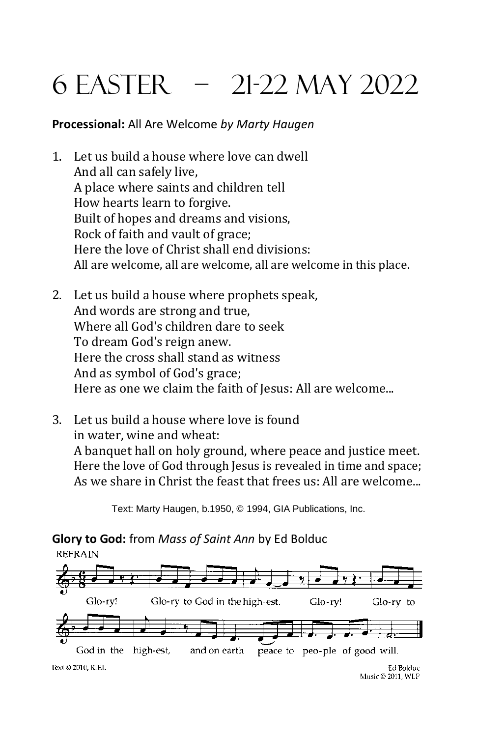# 6 easter – 21-22 May 2022

#### **Processional:** All Are Welcome *by Marty Haugen*

- 1. Let us build a house where love can dwell And all can safely live, A place where saints and children tell How hearts learn to forgive. Built of hopes and dreams and visions, Rock of faith and vault of grace; Here the love of Christ shall end divisions: All are welcome, all are welcome, all are welcome in this place.
- 2. Let us build a house where prophets speak, And words are strong and true, Where all God's children dare to seek To dream God's reign anew. Here the cross shall stand as witness And as symbol of God's grace; Here as one we claim the faith of Jesus: All are welcome...
- 3. Let us build a house where love is found in water, wine and wheat: A banquet hall on holy ground, where peace and justice meet. Here the love of God through Jesus is revealed in time and space; As we share in Christ the feast that frees us: All are welcome...

Text: Marty Haugen, b.1950, © 1994, GIA Publications, Inc.

**Glory to God:** from *Mass of Saint Ann* by Ed Bolduc **REFRAIN** 

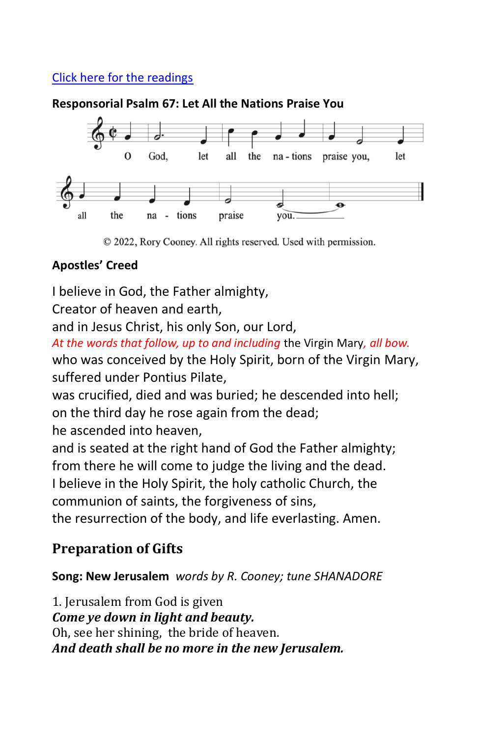## [Click here for the readings](https://bible.usccb.org/bible/readings/052222.cfm)

#### **Responsorial Psalm 67: Let All the Nations Praise You**



© 2022, Rory Cooney. All rights reserved. Used with permission.

### **Apostles' Creed**

I believe in God, the Father almighty,

Creator of heaven and earth,

and in Jesus Christ, his only Son, our Lord,

*At the words that follow, up to and including* the Virgin Mary*, all bow.* who was conceived by the Holy Spirit, born of the Virgin Mary, suffered under Pontius Pilate,

was crucified, died and was buried; he descended into hell; on the third day he rose again from the dead;

he ascended into heaven,

and is seated at the right hand of God the Father almighty; from there he will come to judge the living and the dead. I believe in the Holy Spirit, the holy catholic Church, the communion of saints, the forgiveness of sins,

the resurrection of the body, and life everlasting. Amen.

## **Preparation of Gifts**

#### **Song: New Jerusalem** *words by R. Cooney; tune SHANADORE*

1. Jerusalem from God is given *Come ye down in light and beauty.* Oh, see her shining, the bride of heaven. *And death shall be no more in the new Jerusalem.*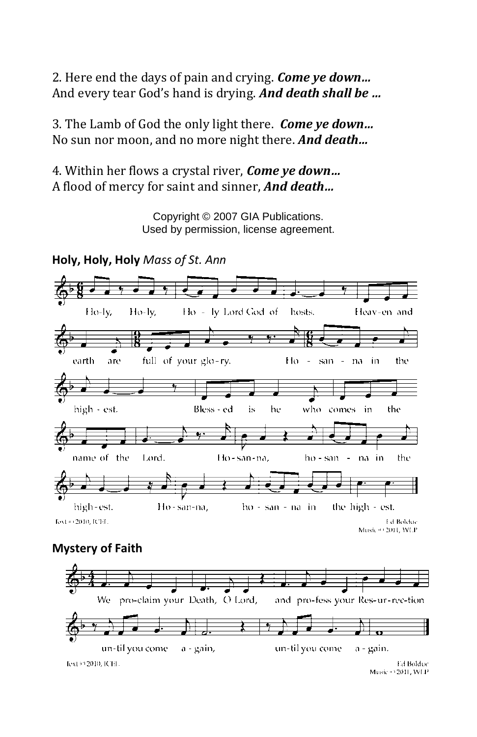2. Here end the days of pain and crying. *Come ye down…* And every tear God's hand is drying. *And death shall be …* 

3. The Lamb of God the only light there. *Come ye down…* No sun nor moon, and no more night there. *And death…*

4. Within her flows a crystal river, *Come ye down…* A flood of mercy for saint and sinner, *And death…*

> Copyright © 2007 GIA Publications. Used by permission, license agreement.



#### **Mystery of Faith**